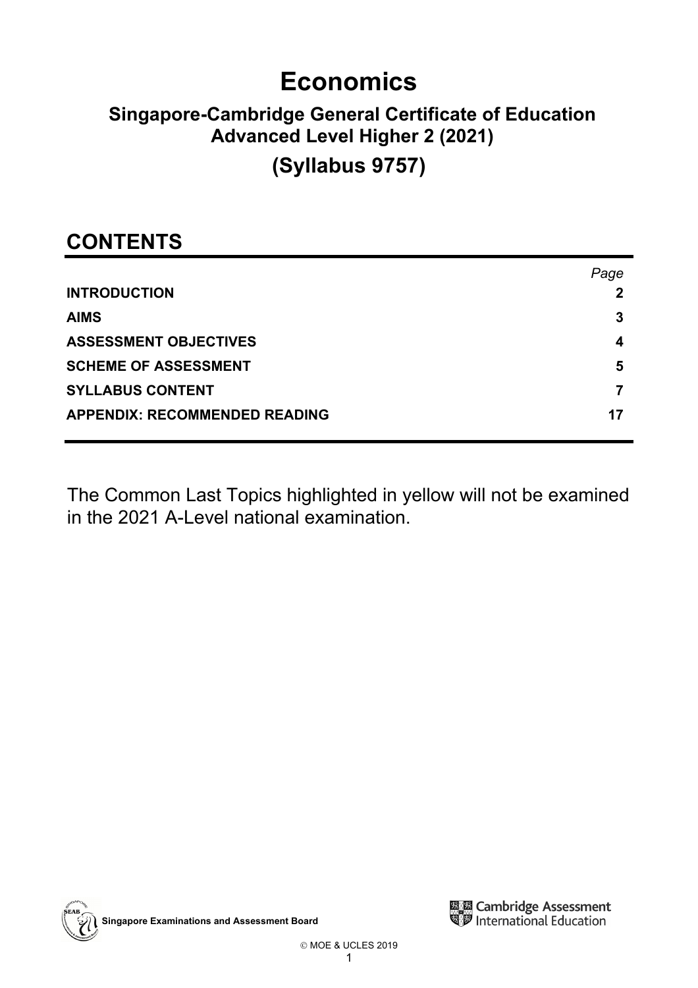# **Economics**

## **Singapore-Cambridge General Certificate of Education Advanced Level Higher 2 (2021)**

## **(Syllabus 9757)**

## **CONTENTS**

|                                      | Page |
|--------------------------------------|------|
| <b>INTRODUCTION</b>                  |      |
| <b>AIMS</b>                          | 3    |
| <b>ASSESSMENT OBJECTIVES</b>         | 4    |
| <b>SCHEME OF ASSESSMENT</b>          | 5    |
| <b>SYLLABUS CONTENT</b>              |      |
| <b>APPENDIX: RECOMMENDED READING</b> | 17   |

The Common Last Topics highlighted in yellow will not be examined in the 2021 A-Level national examination.



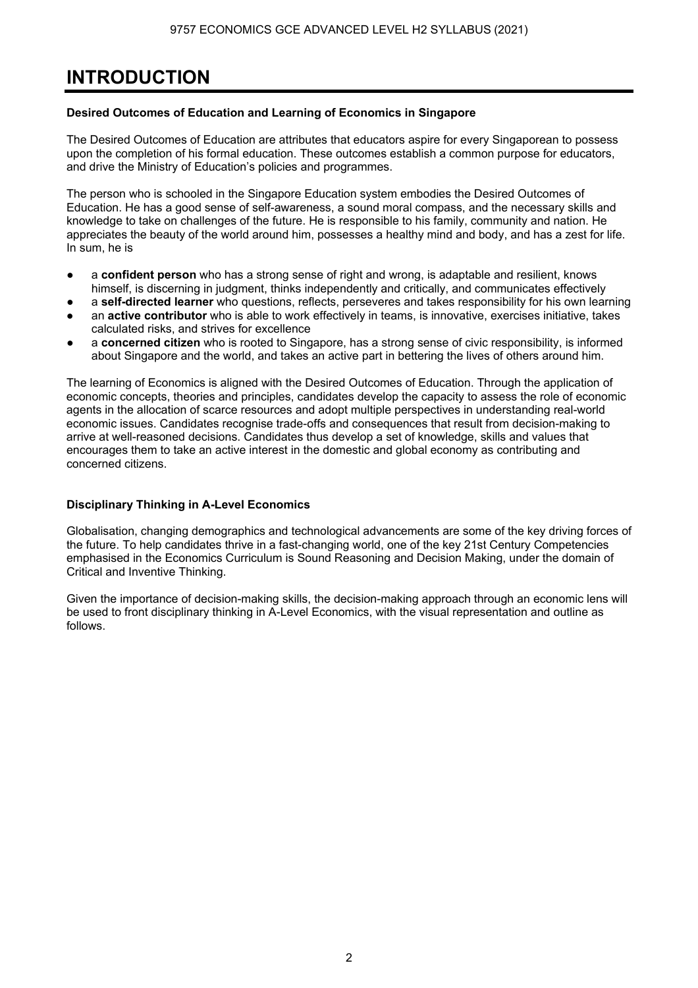## **INTRODUCTION**

## **Desired Outcomes of Education and Learning of Economics in Singapore**

The Desired Outcomes of Education are attributes that educators aspire for every Singaporean to possess upon the completion of his formal education. These outcomes establish a common purpose for educators, and drive the Ministry of Education's policies and programmes.

The person who is schooled in the Singapore Education system embodies the Desired Outcomes of Education. He has a good sense of self-awareness, a sound moral compass, and the necessary skills and knowledge to take on challenges of the future. He is responsible to his family, community and nation. He appreciates the beauty of the world around him, possesses a healthy mind and body, and has a zest for life. In sum, he is

- a **confident person** who has a strong sense of right and wrong, is adaptable and resilient, knows himself, is discerning in judgment, thinks independently and critically, and communicates effectively
- a **self-directed learner** who questions, reflects, perseveres and takes responsibility for his own learning an **active contributor** who is able to work effectively in teams, is innovative, exercises initiative, takes calculated risks, and strives for excellence
- a **concerned citizen** who is rooted to Singapore, has a strong sense of civic responsibility, is informed about Singapore and the world, and takes an active part in bettering the lives of others around him.

The learning of Economics is aligned with the Desired Outcomes of Education. Through the application of economic concepts, theories and principles, candidates develop the capacity to assess the role of economic agents in the allocation of scarce resources and adopt multiple perspectives in understanding real-world economic issues. Candidates recognise trade-offs and consequences that result from decision-making to arrive at well-reasoned decisions. Candidates thus develop a set of knowledge, skills and values that encourages them to take an active interest in the domestic and global economy as contributing and concerned citizens.

### **Disciplinary Thinking in A-Level Economics**

Globalisation, changing demographics and technological advancements are some of the key driving forces of the future. To help candidates thrive in a fast-changing world, one of the key 21st Century Competencies emphasised in the Economics Curriculum is Sound Reasoning and Decision Making, under the domain of Critical and Inventive Thinking.

Given the importance of decision-making skills, the decision-making approach through an economic lens will be used to front disciplinary thinking in A-Level Economics, with the visual representation and outline as follows.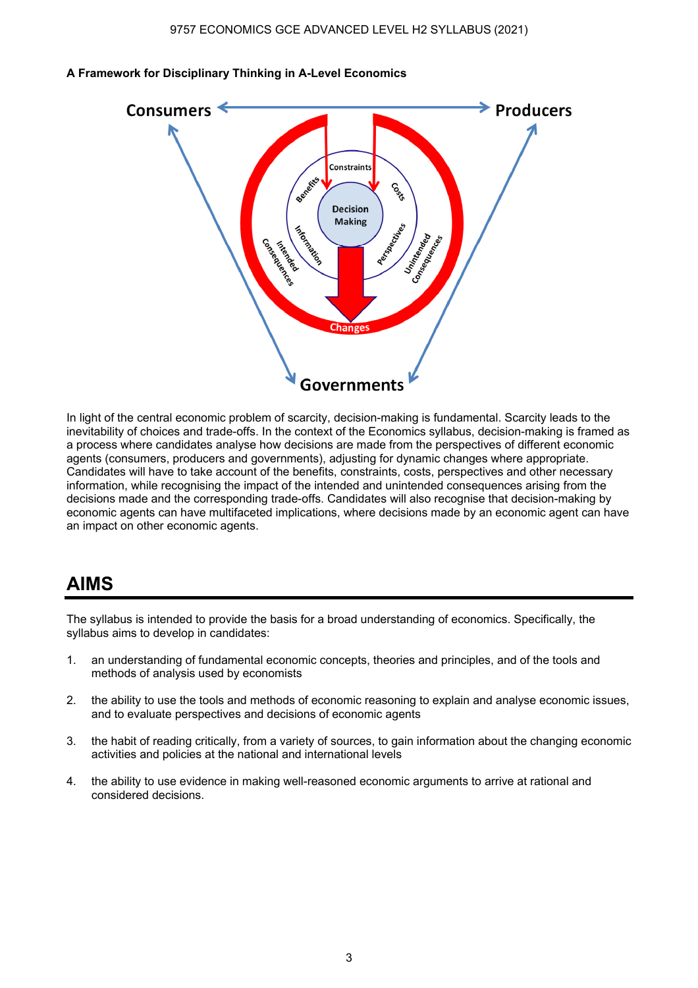

#### **A Framework for Disciplinary Thinking in A-Level Economics**

In light of the central economic problem of scarcity, decision-making is fundamental. Scarcity leads to the inevitability of choices and trade-offs. In the context of the Economics syllabus, decision-making is framed as a process where candidates analyse how decisions are made from the perspectives of different economic agents (consumers, producers and governments), adjusting for dynamic changes where appropriate. Candidates will have to take account of the benefits, constraints, costs, perspectives and other necessary information, while recognising the impact of the intended and unintended consequences arising from the decisions made and the corresponding trade-offs. Candidates will also recognise that decision-making by economic agents can have multifaceted implications, where decisions made by an economic agent can have an impact on other economic agents.

## **AIMS**

The syllabus is intended to provide the basis for a broad understanding of economics. Specifically, the syllabus aims to develop in candidates:

- 1. an understanding of fundamental economic concepts, theories and principles, and of the tools and methods of analysis used by economists
- 2. the ability to use the tools and methods of economic reasoning to explain and analyse economic issues, and to evaluate perspectives and decisions of economic agents
- 3. the habit of reading critically, from a variety of sources, to gain information about the changing economic activities and policies at the national and international levels
- 4. the ability to use evidence in making well-reasoned economic arguments to arrive at rational and considered decisions.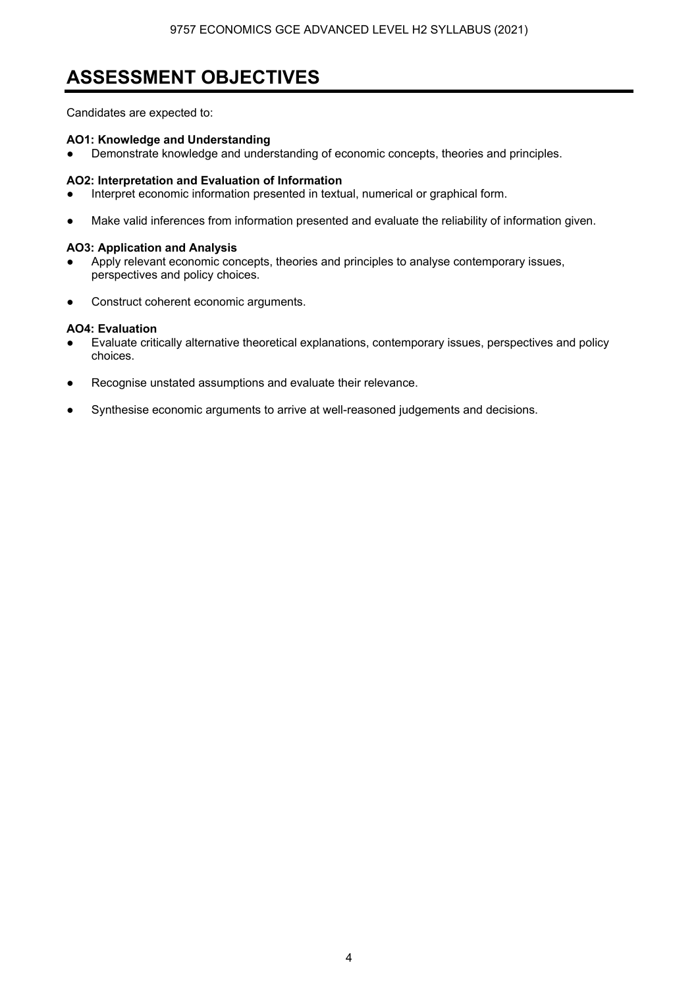## **ASSESSMENT OBJECTIVES**

Candidates are expected to:

## **AO1: Knowledge and Understanding**

Demonstrate knowledge and understanding of economic concepts, theories and principles.

## **AO2: Interpretation and Evaluation of Information**

- Interpret economic information presented in textual, numerical or graphical form.
- Make valid inferences from information presented and evaluate the reliability of information given.

### **AO3: Application and Analysis**

- Apply relevant economic concepts, theories and principles to analyse contemporary issues, perspectives and policy choices.
- Construct coherent economic arguments.

## **AO4: Evaluation**

- Evaluate critically alternative theoretical explanations, contemporary issues, perspectives and policy choices.
- Recognise unstated assumptions and evaluate their relevance.
- Synthesise economic arguments to arrive at well-reasoned judgements and decisions.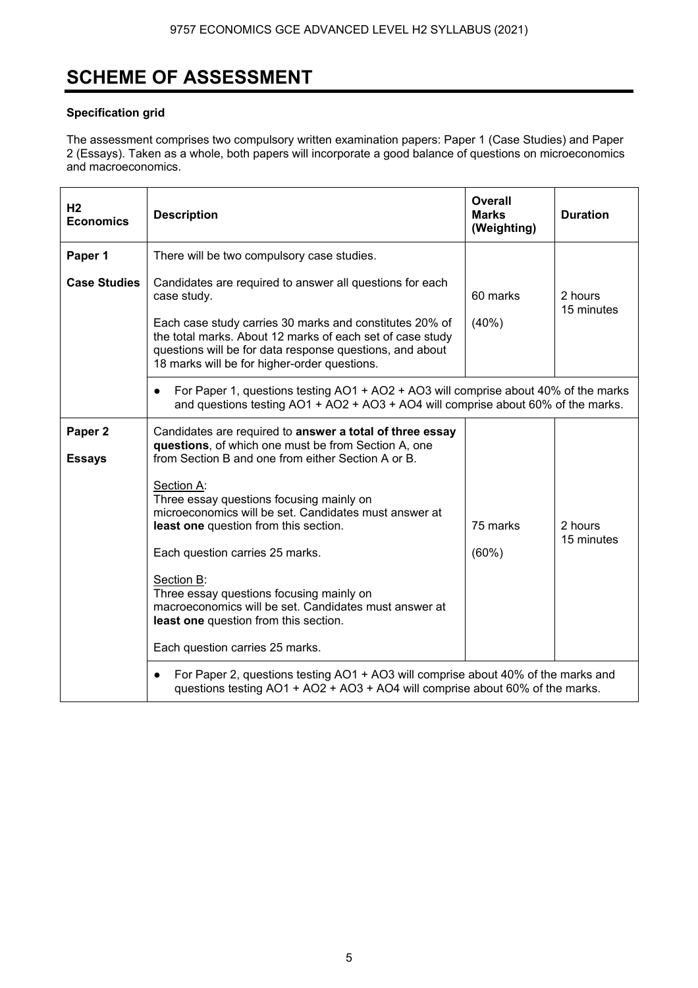## **SCHEME OF ASSESSMENT**

## **Specification grid**

The assessment comprises two compulsory written examination papers: Paper 1 (Case Studies) and Paper 2 (Essays). Taken as a whole, both papers will incorporate a good balance of questions on microeconomics and macroeconomics.

| H <sub>2</sub><br><b>Economics</b>  | <b>Description</b>                                                                                                                                                                                                                                                                                                                                                                                                                                                                                                                                                  | <b>Overall</b><br><b>Marks</b><br>(Weighting) | <b>Duration</b>       |
|-------------------------------------|---------------------------------------------------------------------------------------------------------------------------------------------------------------------------------------------------------------------------------------------------------------------------------------------------------------------------------------------------------------------------------------------------------------------------------------------------------------------------------------------------------------------------------------------------------------------|-----------------------------------------------|-----------------------|
| Paper 1                             | There will be two compulsory case studies.                                                                                                                                                                                                                                                                                                                                                                                                                                                                                                                          |                                               |                       |
| <b>Case Studies</b>                 | Candidates are required to answer all questions for each<br>case study.<br>Each case study carries 30 marks and constitutes 20% of<br>the total marks. About 12 marks of each set of case study<br>questions will be for data response questions, and about<br>18 marks will be for higher-order questions.                                                                                                                                                                                                                                                         | 60 marks<br>(40%                              | 2 hours<br>15 minutes |
|                                     | For Paper 1, questions testing AO1 + AO2 + AO3 will comprise about 40% of the marks<br>$\bullet$<br>and questions testing AO1 + AO2 + AO3 + AO4 will comprise about 60% of the marks.                                                                                                                                                                                                                                                                                                                                                                               |                                               |                       |
| Paper <sub>2</sub><br><b>Essays</b> | Candidates are required to answer a total of three essay<br>questions, of which one must be from Section A, one<br>from Section B and one from either Section A or B.<br>Section A:<br>Three essay questions focusing mainly on<br>microeconomics will be set. Candidates must answer at<br>least one question from this section.<br>Each question carries 25 marks.<br>Section B:<br>Three essay questions focusing mainly on<br>macroeconomics will be set. Candidates must answer at<br>least one question from this section.<br>Each question carries 25 marks. | 75 marks<br>(60%)                             | 2 hours<br>15 minutes |
|                                     | For Paper 2, questions testing AO1 + AO3 will comprise about 40% of the marks and<br>questions testing AO1 + AO2 + AO3 + AO4 will comprise about 60% of the marks.                                                                                                                                                                                                                                                                                                                                                                                                  |                                               |                       |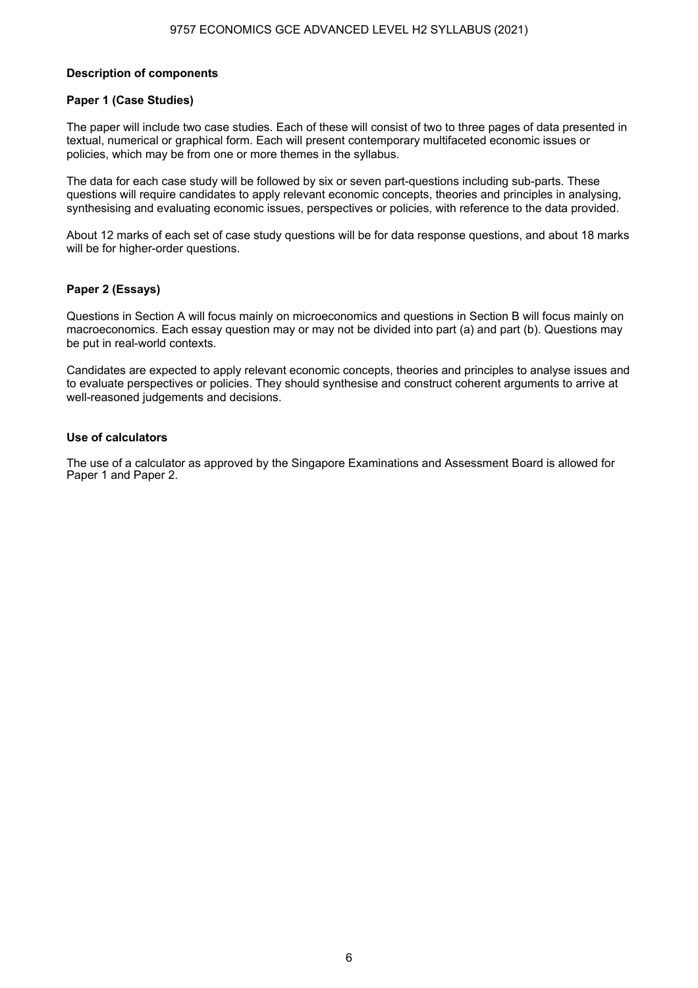#### **Description of components**

#### **Paper 1 (Case Studies)**

The paper will include two case studies. Each of these will consist of two to three pages of data presented in textual, numerical or graphical form. Each will present contemporary multifaceted economic issues or policies, which may be from one or more themes in the syllabus.

The data for each case study will be followed by six or seven part-questions including sub-parts. These questions will require candidates to apply relevant economic concepts, theories and principles in analysing, synthesising and evaluating economic issues, perspectives or policies, with reference to the data provided.

About 12 marks of each set of case study questions will be for data response questions, and about 18 marks will be for higher-order questions.

### **Paper 2 (Essays)**

Questions in Section A will focus mainly on microeconomics and questions in Section B will focus mainly on macroeconomics. Each essay question may or may not be divided into part (a) and part (b). Questions may be put in real-world contexts.

Candidates are expected to apply relevant economic concepts, theories and principles to analyse issues and to evaluate perspectives or policies. They should synthesise and construct coherent arguments to arrive at well-reasoned judgements and decisions.

#### **Use of calculators**

The use of a calculator as approved by the Singapore Examinations and Assessment Board is allowed for Paper 1 and Paper 2.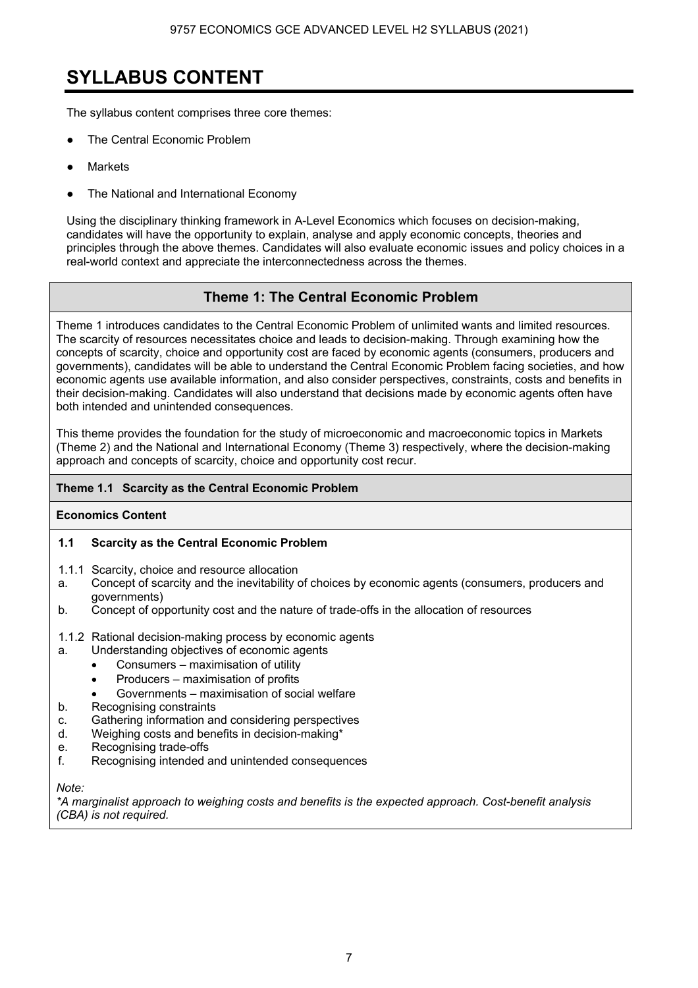## **SYLLABUS CONTENT**

The syllabus content comprises three core themes:

- The Central Economic Problem
- **Markets**
- The National and International Economy

Using the disciplinary thinking framework in A-Level Economics which focuses on decision-making, candidates will have the opportunity to explain, analyse and apply economic concepts, theories and principles through the above themes. Candidates will also evaluate economic issues and policy choices in a real-world context and appreciate the interconnectedness across the themes.

## **Theme 1: The Central Economic Problem**

Theme 1 introduces candidates to the Central Economic Problem of unlimited wants and limited resources. The scarcity of resources necessitates choice and leads to decision-making. Through examining how the concepts of scarcity, choice and opportunity cost are faced by economic agents (consumers, producers and governments), candidates will be able to understand the Central Economic Problem facing societies, and how economic agents use available information, and also consider perspectives, constraints, costs and benefits in their decision-making. Candidates will also understand that decisions made by economic agents often have both intended and unintended consequences.

This theme provides the foundation for the study of microeconomic and macroeconomic topics in Markets (Theme 2) and the National and International Economy (Theme 3) respectively, where the decision-making approach and concepts of scarcity, choice and opportunity cost recur.

## **Theme 1.1 Scarcity as the Central Economic Problem**

## **Economics Content**

## **1.1 Scarcity as the Central Economic Problem**

- 1.1.1 Scarcity, choice and resource allocation
- a. Concept of scarcity and the inevitability of choices by economic agents (consumers, producers and governments)
- b. Concept of opportunity cost and the nature of trade-offs in the allocation of resources
- 1.1.2 Rational decision-making process by economic agents
- a. Understanding objectives of economic agents
	- Consumers maximisation of utility
	- Producers maximisation of profits
	- Governments maximisation of social welfare
- b. Recognising constraints
- c. Gathering information and considering perspectives
- d. Weighing costs and benefits in decision-making\*
- e. Recognising trade-offs
- f. Recognising intended and unintended consequences

*Note:* 

*\*A marginalist approach to weighing costs and benefits is the expected approach. Cost-benefit analysis (CBA) is not required.*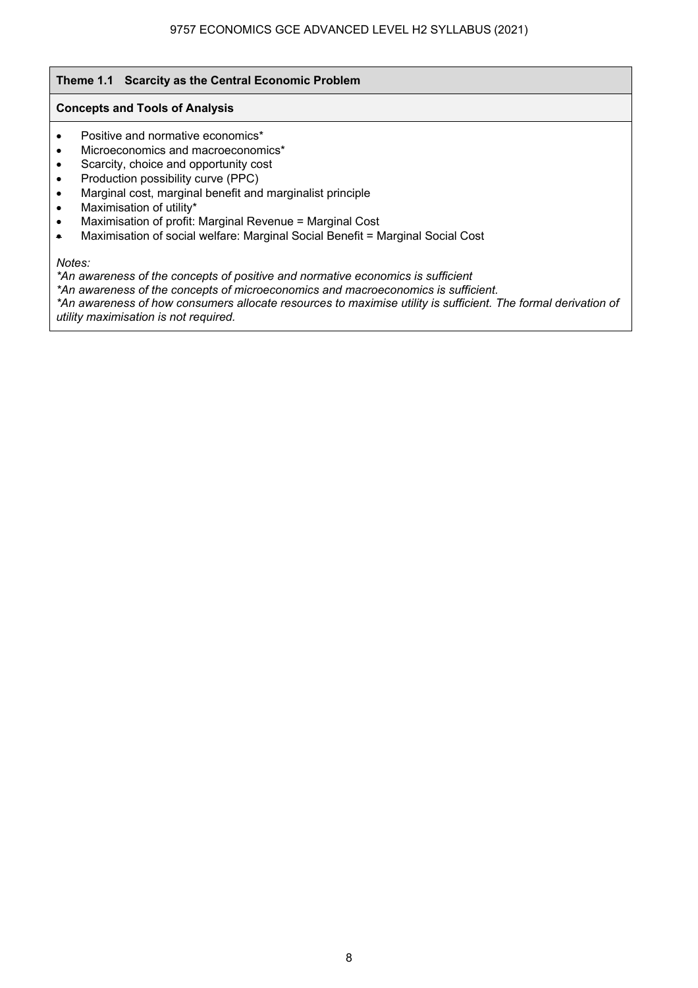## **Theme 1.1 Scarcity as the Central Economic Problem**

## **Concepts and Tools of Analysis**

- Positive and normative economics\*
- Microeconomics and macroeconomics<sup>\*</sup>
- Scarcity, choice and opportunity cost
- Production possibility curve (PPC)
- Marginal cost, marginal benefit and marginalist principle
- Maximisation of utility\*
- Maximisation of profit: Marginal Revenue = Marginal Cost
- Maximisation of social welfare: Marginal Social Benefit = Marginal Social Cost

### *Notes:*

*\*An awareness of the concepts of positive and normative economics is sufficient* 

*\*An awareness of the concepts of microeconomics and macroeconomics is sufficient.* 

*\*An awareness of how consumers allocate resources to maximise utility is sufficient. The formal derivation of utility maximisation is not required.*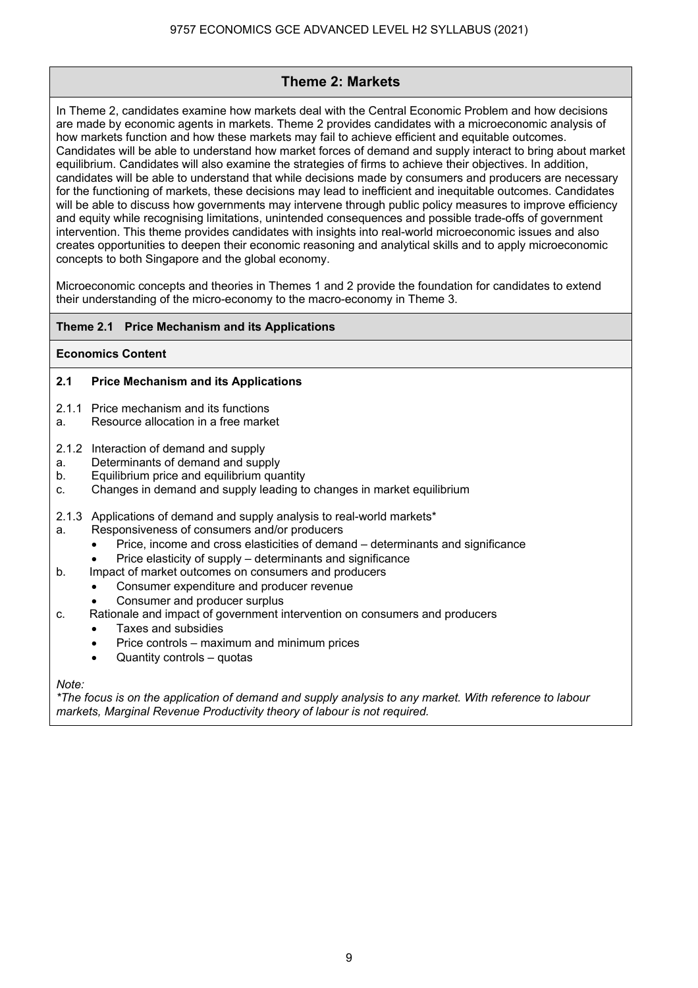## **Theme 2: Markets**

In Theme 2, candidates examine how markets deal with the Central Economic Problem and how decisions are made by economic agents in markets. Theme 2 provides candidates with a microeconomic analysis of how markets function and how these markets may fail to achieve efficient and equitable outcomes. Candidates will be able to understand how market forces of demand and supply interact to bring about market equilibrium. Candidates will also examine the strategies of firms to achieve their objectives. In addition, candidates will be able to understand that while decisions made by consumers and producers are necessary for the functioning of markets, these decisions may lead to inefficient and inequitable outcomes. Candidates will be able to discuss how governments may intervene through public policy measures to improve efficiency and equity while recognising limitations, unintended consequences and possible trade-offs of government intervention. This theme provides candidates with insights into real-world microeconomic issues and also creates opportunities to deepen their economic reasoning and analytical skills and to apply microeconomic concepts to both Singapore and the global economy.

Microeconomic concepts and theories in Themes 1 and 2 provide the foundation for candidates to extend their understanding of the micro-economy to the macro-economy in Theme 3.

## **Theme 2.1 Price Mechanism and its Applications**

### **Economics Content**

## **2.1 Price Mechanism and its Applications**

- 2.1.1 Price mechanism and its functions
- a. Resource allocation in a free market
- 2.1.2 Interaction of demand and supply
- a. Determinants of demand and supply
- b. Equilibrium price and equilibrium quantity
- c. Changes in demand and supply leading to changes in market equilibrium
- 2.1.3 Applications of demand and supply analysis to real-world markets\*
- a. Responsiveness of consumers and/or producers
	- Price, income and cross elasticities of demand determinants and significance
	- Price elasticity of supply determinants and significance
- b. Impact of market outcomes on consumers and producers
	- Consumer expenditure and producer revenue
	- Consumer and producer surplus
- c. Rationale and impact of government intervention on consumers and producers
	- Taxes and subsidies
		- Price controls maximum and minimum prices
		- Quantity controls quotas

*Note:* 

*\*The focus is on the application of demand and supply analysis to any market. With reference to labour markets, Marginal Revenue Productivity theory of labour is not required.*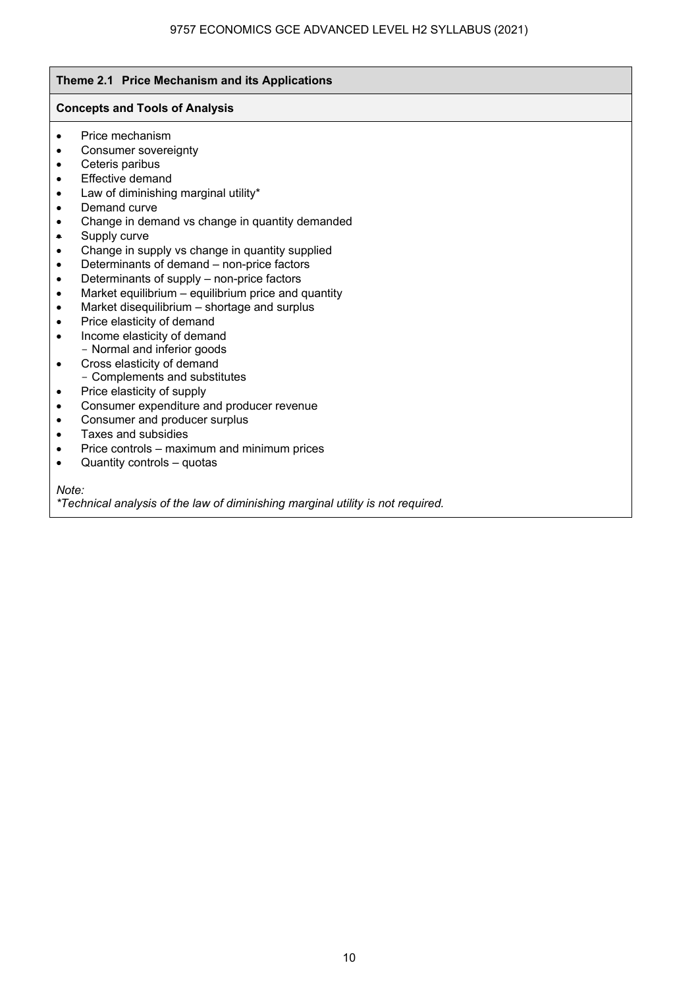## **Theme 2.1 Price Mechanism and its Applications**

## **Concepts and Tools of Analysis**

- Price mechanism
- Consumer sovereignty
- Ceteris paribus
- Effective demand
- Law of diminishing marginal utility\*
- Demand curve
- Change in demand vs change in quantity demanded
- Supply curve
- Change in supply vs change in quantity supplied
- Determinants of demand non-price factors
- Determinants of supply non-price factors
- Market equilibrium equilibrium price and quantity
- Market disequilibrium shortage and surplus
- Price elasticity of demand
- Income elasticity of demand - Normal and inferior goods
- Cross elasticity of demand
	- Complements and substitutes
- Price elasticity of supply
- Consumer expenditure and producer revenue
- Consumer and producer surplus
- Taxes and subsidies
- Price controls maximum and minimum prices
- Quantity controls quotas

*Note:* 

*\*Technical analysis of the law of diminishing marginal utility is not required.*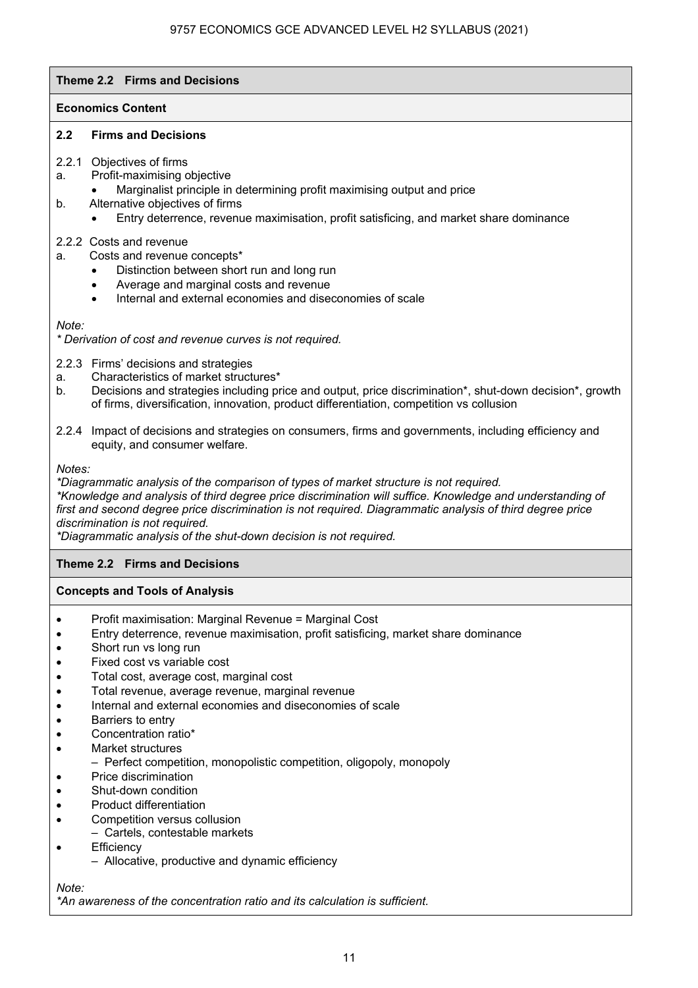## **Theme 2.2 Firms and Decisions**

## **Economics Content**

## **2.2 Firms and Decisions**

## 2.2.1 Objectives of firms

- a. Profit-maximising objective
	- Marginalist principle in determining profit maximising output and price
- b. Alternative objectives of firms
	- Entry deterrence, revenue maximisation, profit satisficing, and market share dominance

## 2.2.2 Costs and revenue

- a. Costs and revenue concepts\*
	- Distinction between short run and long run
	- Average and marginal costs and revenue
	- Internal and external economies and diseconomies of scale

*Note:* 

*\* Derivation of cost and revenue curves is not required.* 

- 2.2.3 Firms' decisions and strategies
- a. Characteristics of market structures\*
- b. Decisions and strategies including price and output, price discrimination\*, shut-down decision\*, growth of firms, diversification, innovation, product differentiation, competition vs collusion
- 2.2.4 Impact of decisions and strategies on consumers, firms and governments, including efficiency and equity, and consumer welfare.

*Notes:* 

*\*Diagrammatic analysis of the comparison of types of market structure is not required. \*Knowledge and analysis of third degree price discrimination will suffice. Knowledge and understanding of first and second degree price discrimination is not required. Diagrammatic analysis of third degree price discrimination is not required.* 

*\*Diagrammatic analysis of the shut-down decision is not required.* 

## **Theme 2.2 Firms and Decisions**

### **Concepts and Tools of Analysis**

- Profit maximisation: Marginal Revenue = Marginal Cost
- Entry deterrence, revenue maximisation, profit satisficing, market share dominance
- Short run vs long run
- Fixed cost vs variable cost
- Total cost, average cost, marginal cost
- Total revenue, average revenue, marginal revenue
- Internal and external economies and diseconomies of scale
- Barriers to entry
- Concentration ratio\*
- Market structures
	- Perfect competition, monopolistic competition, oligopoly, monopoly
- Price discrimination
- Shut-down condition
- Product differentiation
- Competition versus collusion
	- Cartels, contestable markets
- **Efficiency** 
	- Allocative, productive and dynamic efficiency

### *Note:*

*\*An awareness of the concentration ratio and its calculation is sufficient.*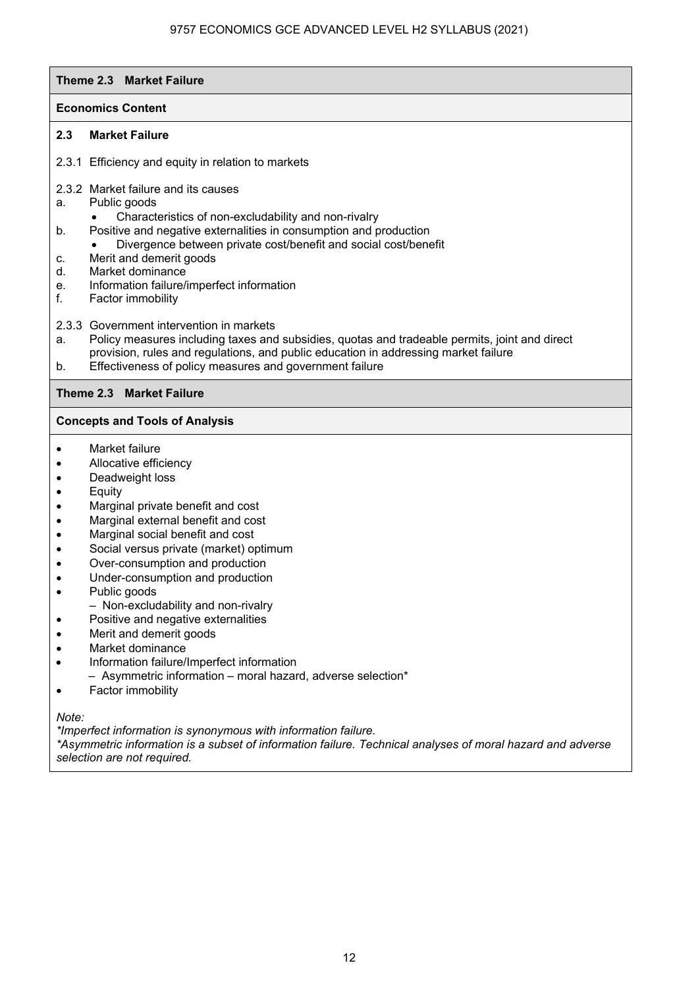### **Theme 2.3 Market Failure**

## **Economics Content**

## **2.3 Market Failure**

- 2.3.1 Efficiency and equity in relation to markets
- 2.3.2 Market failure and its causes
- a. Public goods
	- Characteristics of non-excludability and non-rivalry
- b. Positive and negative externalities in consumption and production
- Divergence between private cost/benefit and social cost/benefit
- c. Merit and demerit goods
- d. Market dominance
- e. Information failure/imperfect information
- f. Factor immobility
- 2.3.3 Government intervention in markets
- a. Policy measures including taxes and subsidies, quotas and tradeable permits, joint and direct provision, rules and regulations, and public education in addressing market failure
- b. Effectiveness of policy measures and government failure

### **Theme 2.3 Market Failure**

## **Concepts and Tools of Analysis**

- Market failure
- Allocative efficiency
- Deadweight loss
- Equity
- Marginal private benefit and cost
- Marginal external benefit and cost
- Marginal social benefit and cost
- Social versus private (market) optimum
- Over-consumption and production
- Under-consumption and production
- Public goods
	- Non-excludability and non-rivalry
- Positive and negative externalities
- Merit and demerit goods
- Market dominance
- Information failure/Imperfect information
- Asymmetric information moral hazard, adverse selection\*
- Factor immobility

*Note:* 

*\*Imperfect information is synonymous with information failure.* 

*\*Asymmetric information is a subset of information failure. Technical analyses of moral hazard and adverse selection are not required.*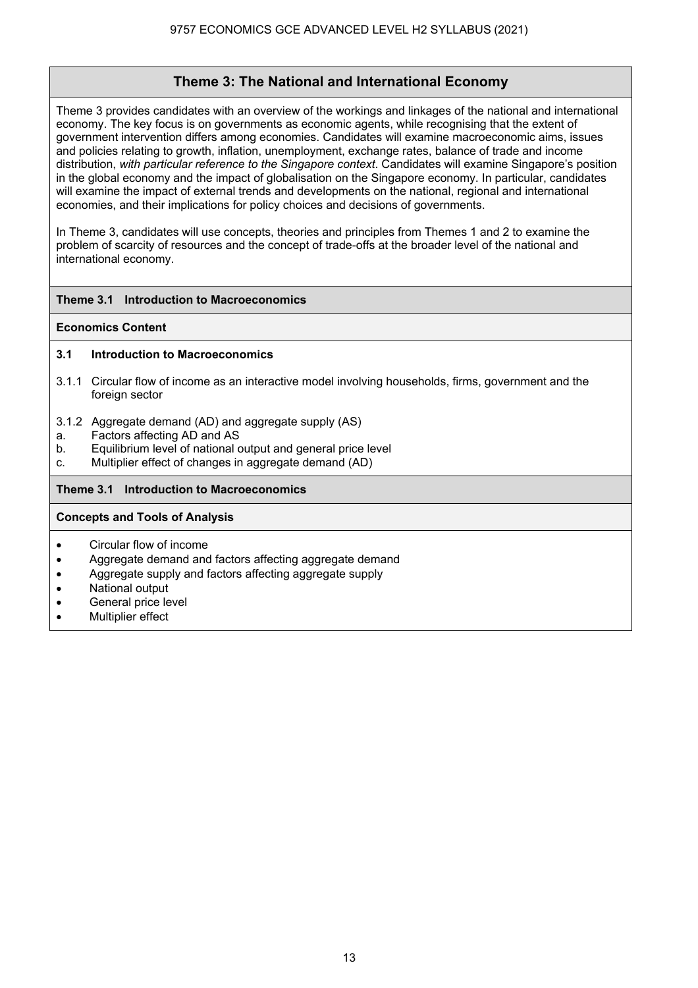## **Theme 3: The National and International Economy**

Theme 3 provides candidates with an overview of the workings and linkages of the national and international economy. The key focus is on governments as economic agents, while recognising that the extent of government intervention differs among economies. Candidates will examine macroeconomic aims, issues and policies relating to growth, inflation, unemployment, exchange rates, balance of trade and income distribution, *with particular reference to the Singapore context*. Candidates will examine Singapore's position in the global economy and the impact of globalisation on the Singapore economy. In particular, candidates will examine the impact of external trends and developments on the national, regional and international economies, and their implications for policy choices and decisions of governments.

In Theme 3, candidates will use concepts, theories and principles from Themes 1 and 2 to examine the problem of scarcity of resources and the concept of trade-offs at the broader level of the national and international economy.

## **Theme 3.1 Introduction to Macroeconomics**

### **Economics Content**

## **3.1 Introduction to Macroeconomics**

- 3.1.1 Circular flow of income as an interactive model involving households, firms, government and the foreign sector
- 3.1.2 Aggregate demand (AD) and aggregate supply (AS)
- a. Factors affecting AD and AS
- b. Equilibrium level of national output and general price level
- c. Multiplier effect of changes in aggregate demand (AD)

## **Theme 3.1 Introduction to Macroeconomics**

## **Concepts and Tools of Analysis**

- Circular flow of income
- Aggregate demand and factors affecting aggregate demand
- Aggregate supply and factors affecting aggregate supply
- National output
- General price level
- **Multiplier effect**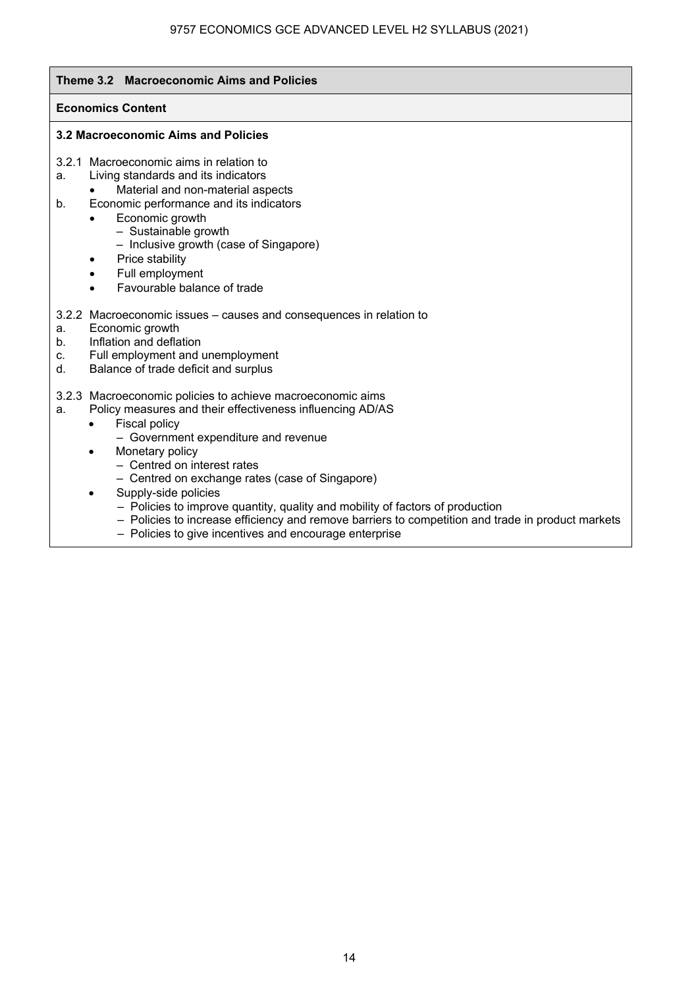## **Theme 3.2 Macroeconomic Aims and Policies Economics Content 3.2 Macroeconomic Aims and Policies**  3.2.1 Macroeconomic aims in relation to a. Living standards and its indicators • Material and non-material aspects b. Economic performance and its indicators • Economic growth – Sustainable growth – Inclusive growth (case of Singapore) Price stability Full employment • Favourable balance of trade 3.2.2 Macroeconomic issues – causes and consequences in relation to a. Economic growth b. Inflation and deflation c. Full employment and unemployment d. Balance of trade deficit and surplus 3.2.3 Macroeconomic policies to achieve macroeconomic aims a. Policy measures and their effectiveness influencing AD/AS • Fiscal policy – Government expenditure and revenue Monetary policy – Centred on interest rates – Centred on exchange rates (case of Singapore) Supply-side policies – Policies to improve quantity, quality and mobility of factors of production – Policies to increase efficiency and remove barriers to competition and trade in product markets – Policies to give incentives and encourage enterprise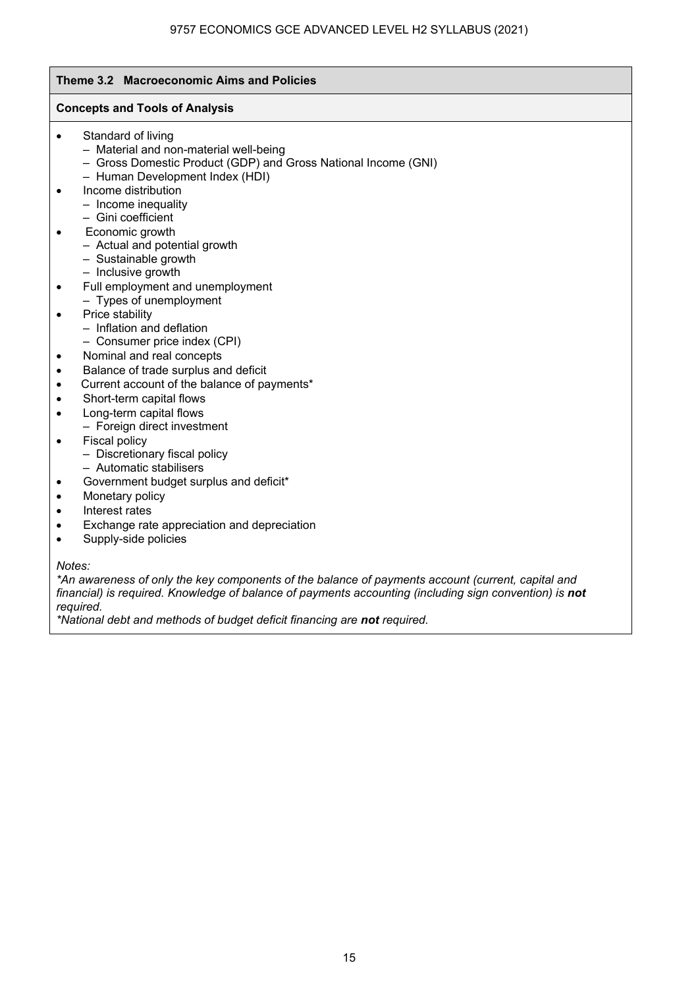## **Theme 3.2 Macroeconomic Aims and Policies Concepts and Tools of Analysis**  • Standard of living – Material and non-material well-being – Gross Domestic Product (GDP) and Gross National Income (GNI) – Human Development Index (HDI) • Income distribution – Income inequality – Gini coefficient • Economic growth – Actual and potential growth – Sustainable growth – Inclusive growth • Full employment and unemployment – Types of unemployment • Price stability – Inflation and deflation – Consumer price index (CPI) • Nominal and real concepts • Balance of trade surplus and deficit • Current account of the balance of payments\* • Short-term capital flows • Long-term capital flows – Foreign direct investment • Fiscal policy – Discretionary fiscal policy – Automatic stabilisers • Government budget surplus and deficit\* • Monetary policy • Interest rates • Exchange rate appreciation and depreciation • Supply-side policies

*Notes:* 

*\*An awareness of only the key components of the balance of payments account (current, capital and financial) is required. Knowledge of balance of payments accounting (including sign convention) is not required.* 

*\*National debt and methods of budget deficit financing are not required.*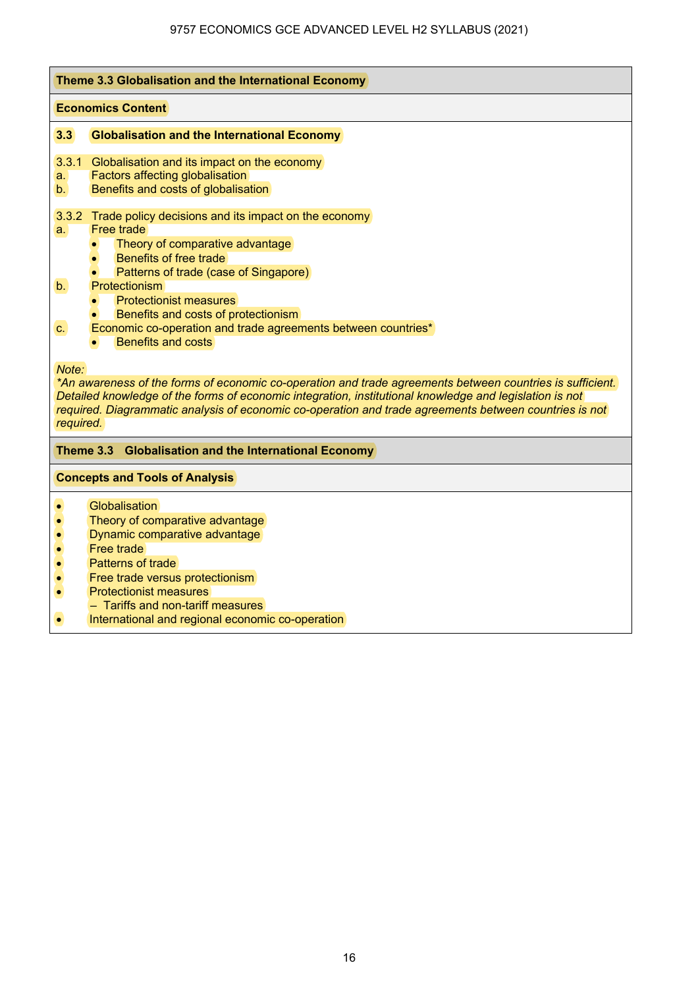|                            | Theme 3.3 Globalisation and the International Economy                                                                                                                                                                                                                                                                                                                                                                      |  |  |
|----------------------------|----------------------------------------------------------------------------------------------------------------------------------------------------------------------------------------------------------------------------------------------------------------------------------------------------------------------------------------------------------------------------------------------------------------------------|--|--|
|                            | <b>Economics Content</b>                                                                                                                                                                                                                                                                                                                                                                                                   |  |  |
| 3.3                        | <b>Globalisation and the International Economy</b>                                                                                                                                                                                                                                                                                                                                                                         |  |  |
| 3.3.1<br>a.<br>b.l         | Globalisation and its impact on the economy<br>Factors affecting globalisation<br>Benefits and costs of globalisation                                                                                                                                                                                                                                                                                                      |  |  |
| а.<br>b <sub>1</sub><br>C. | 3.3.2 Trade policy decisions and its impact on the economy<br><b>Free trade</b><br>Theory of comparative advantage<br>$\bullet$<br>Benefits of free trade<br>$\bullet$<br>Patterns of trade (case of Singapore)<br>$\bullet$<br><b>Protectionism</b><br><b>Protectionist measures</b><br>Benefits and costs of protectionism<br>Economic co-operation and trade agreements between countries*<br><b>Benefits and costs</b> |  |  |
| Note:<br>required.         | *An awareness of the forms of economic co-operation and trade agreements between countries is sufficient.<br>Detailed knowledge of the forms of economic integration, institutional knowledge and legislation is not<br>required. Diagrammatic analysis of economic co-operation and trade agreements between countries is not                                                                                             |  |  |
|                            | Theme 3.3 Globalisation and the International Economy                                                                                                                                                                                                                                                                                                                                                                      |  |  |
|                            | <b>Concepts and Tools of Analysis</b>                                                                                                                                                                                                                                                                                                                                                                                      |  |  |
| $\bullet$                  | <b>Globalisation</b><br>Theory of comparative advantage<br>Dynamic comparative advantage<br>Free trade<br>Patterns of trade                                                                                                                                                                                                                                                                                                |  |  |
| $\bullet$<br>$\bullet$     | Free trade versus protectionism<br><b>Protectionist measures</b><br>- Tariffs and non-tariff measures<br>International and regional economic co-operation                                                                                                                                                                                                                                                                  |  |  |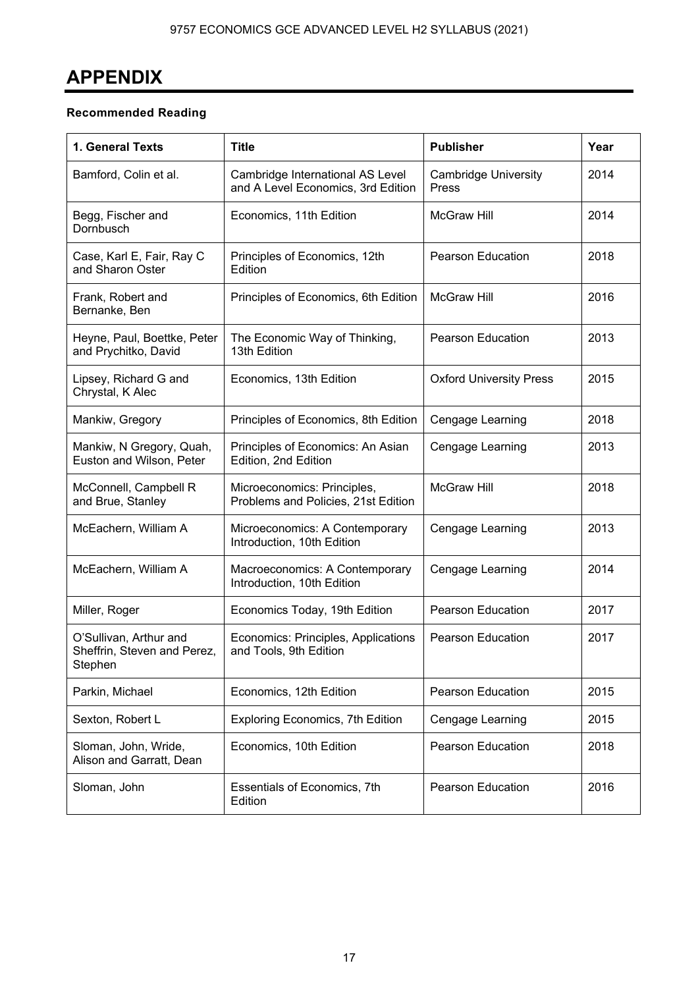## **APPENDIX**

## **Recommended Reading**

| 1. General Texts                                                 | <b>Title</b>                                                           | <b>Publisher</b>                     | Year |
|------------------------------------------------------------------|------------------------------------------------------------------------|--------------------------------------|------|
| Bamford, Colin et al.                                            | Cambridge International AS Level<br>and A Level Economics, 3rd Edition | <b>Cambridge University</b><br>Press | 2014 |
| Begg, Fischer and<br>Dornbusch                                   | Economics, 11th Edition                                                | <b>McGraw Hill</b>                   | 2014 |
| Case, Karl E, Fair, Ray C<br>and Sharon Oster                    | Principles of Economics, 12th<br>Edition                               | <b>Pearson Education</b>             | 2018 |
| Frank, Robert and<br>Bernanke, Ben                               | Principles of Economics, 6th Edition                                   | <b>McGraw Hill</b>                   | 2016 |
| Heyne, Paul, Boettke, Peter<br>and Prychitko, David              | The Economic Way of Thinking,<br>13th Edition                          | <b>Pearson Education</b>             | 2013 |
| Lipsey, Richard G and<br>Chrystal, K Alec                        | Economics, 13th Edition                                                | <b>Oxford University Press</b>       | 2015 |
| Mankiw, Gregory                                                  | Principles of Economics, 8th Edition                                   | Cengage Learning                     | 2018 |
| Mankiw, N Gregory, Quah,<br>Euston and Wilson, Peter             | Principles of Economics: An Asian<br>Edition, 2nd Edition              | Cengage Learning                     | 2013 |
| McConnell, Campbell R<br>and Brue, Stanley                       | Microeconomics: Principles,<br>Problems and Policies, 21st Edition     | <b>McGraw Hill</b>                   | 2018 |
| McEachern, William A                                             | Microeconomics: A Contemporary<br>Introduction, 10th Edition           | Cengage Learning                     | 2013 |
| McEachern, William A                                             | Macroeconomics: A Contemporary<br>Introduction, 10th Edition           | Cengage Learning                     | 2014 |
| Miller, Roger                                                    | Economics Today, 19th Edition                                          | Pearson Education                    | 2017 |
| O'Sullivan, Arthur and<br>Sheffrin, Steven and Perez,<br>Stephen | Economics: Principles, Applications<br>and Tools, 9th Edition          | <b>Pearson Education</b>             | 2017 |
| Parkin, Michael                                                  | Economics, 12th Edition                                                | <b>Pearson Education</b>             | 2015 |
| Sexton, Robert L                                                 | Exploring Economics, 7th Edition                                       | Cengage Learning                     | 2015 |
| Sloman, John, Wride,<br>Alison and Garratt, Dean                 | Economics, 10th Edition                                                | <b>Pearson Education</b>             | 2018 |
| Sloman, John                                                     | Essentials of Economics, 7th<br>Edition                                | <b>Pearson Education</b>             | 2016 |